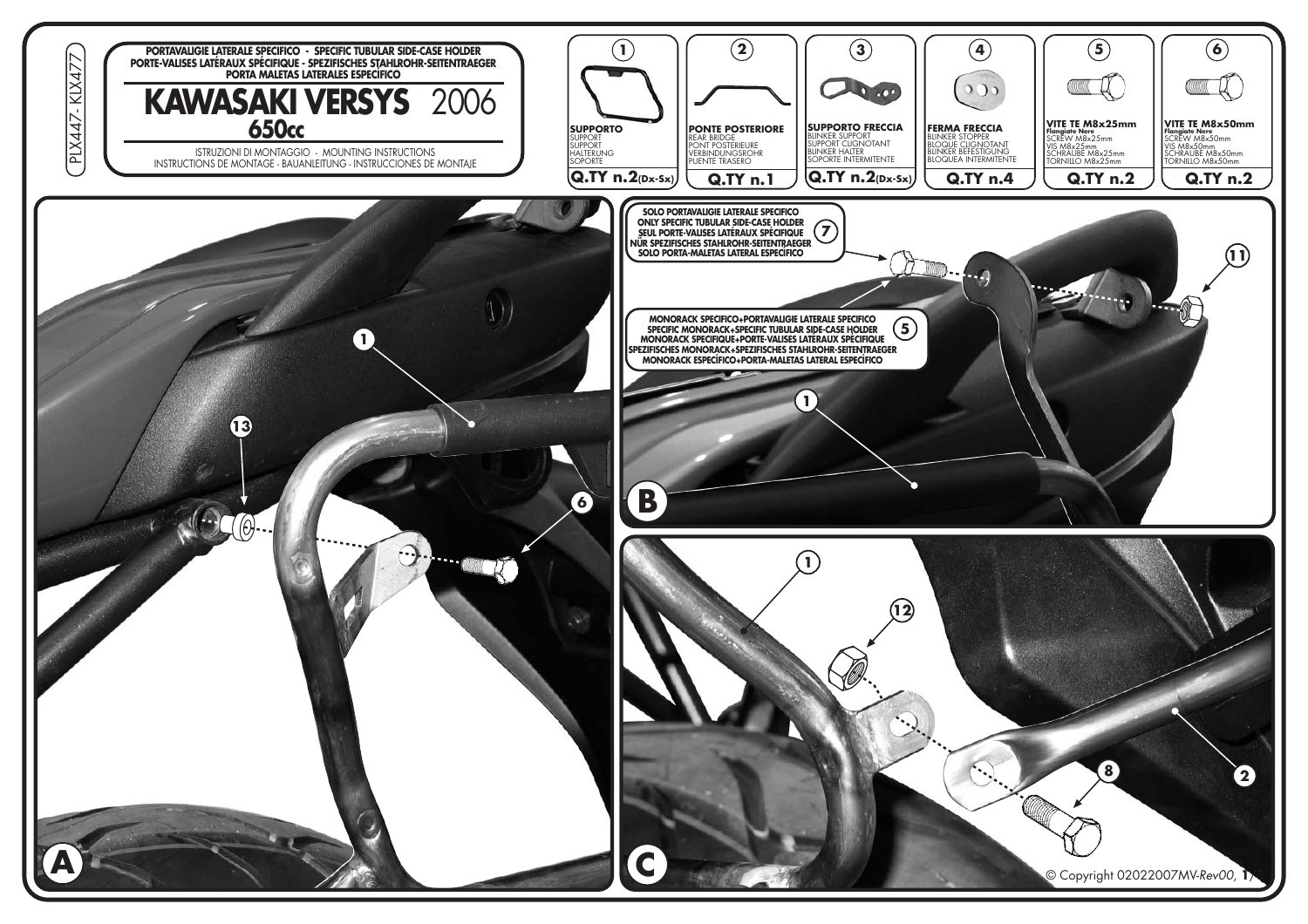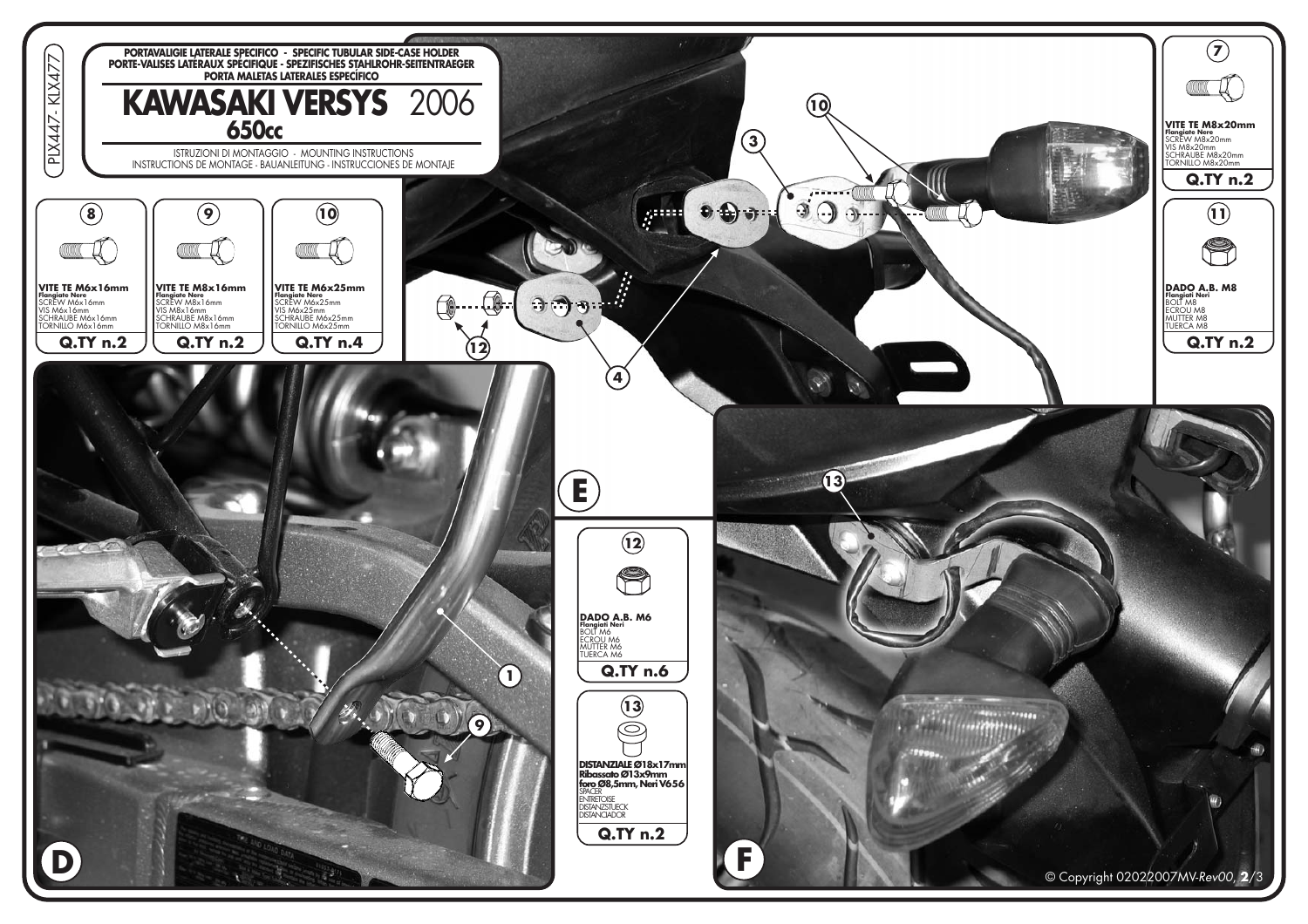